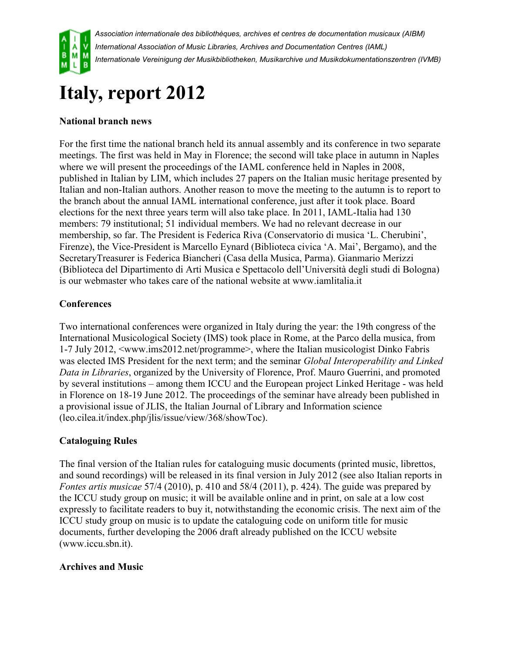

# **Italy, report 2012**

## **National branch news**

For the first time the national branch held its annual assembly and its conference in two separate meetings. The first was held in May in Florence; the second will take place in autumn in Naples where we will present the proceedings of the IAML conference held in Naples in 2008, published in Italian by LIM, which includes 27 papers on the Italian music heritage presented by Italian and non-Italian authors. Another reason to move the meeting to the autumn is to report to the branch about the annual IAML international conference, just after it took place. Board elections for the next three years term will also take place. In 2011, IAML-Italia had 130 members: 79 institutional; 51 individual members. We had no relevant decrease in our membership, so far. The President is Federica Riva (Conservatorio di musica 'L. Cherubini', Firenze), the Vice-President is Marcello Eynard (Biblioteca civica 'A. Mai', Bergamo), and the SecretaryTreasurer is Federica Biancheri (Casa della Musica, Parma). Gianmario Merizzi (Biblioteca del Dipartimento di Arti Musica e Spettacolo dell'Università degli studi di Bologna) is our webmaster who takes care of the national website at www.iamlitalia.it

### **Conferences**

Two international conferences were organized in Italy during the year: the 19th congress of the International Musicological Society (IMS) took place in Rome, at the Parco della musica, from 1-7 July 2012, <www.ims2012.net/programme>, where the Italian musicologist Dinko Fabris was elected IMS President for the next term; and the seminar *Global Interoperability and Linked Data in Libraries*, organized by the University of Florence, Prof. Mauro Guerrini, and promoted by several institutions – among them ICCU and the European project Linked Heritage - was held in Florence on 18-19 June 2012. The proceedings of the seminar have already been published in a provisional issue of JLIS, the Italian Journal of Library and Information science (leo.cilea.it/index.php/jlis/issue/view/368/showToc).

### **Cataloguing Rules**

The final version of the Italian rules for cataloguing music documents (printed music, librettos, and sound recordings) will be released in its final version in July 2012 (see also Italian reports in *Fontes artis musicae* 57/4 (2010), p. 410 and 58/4 (2011), p. 424). The guide was prepared by the ICCU study group on music; it will be available online and in print, on sale at a low cost expressly to facilitate readers to buy it, notwithstanding the economic crisis. The next aim of the ICCU study group on music is to update the cataloguing code on uniform title for music documents, further developing the 2006 draft already published on the ICCU website (www.iccu.sbn.it).

#### **Archives and Music**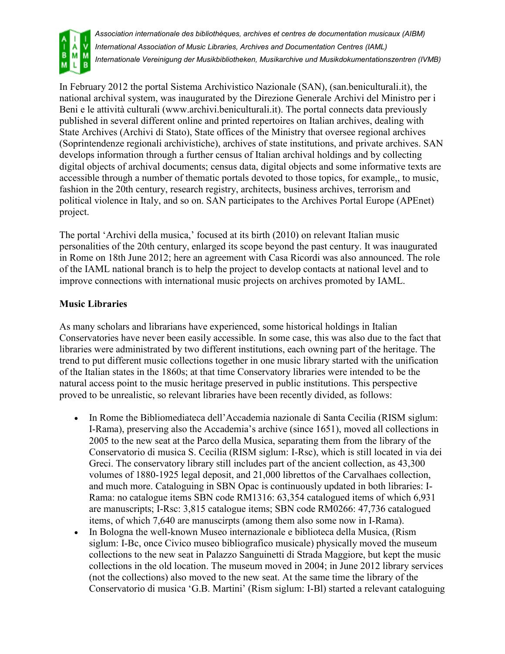

In February 2012 the portal Sistema Archivistico Nazionale (SAN), (san.beniculturali.it), the national archival system, was inaugurated by the Direzione Generale Archivi del Ministro per i Beni e le attività culturali (www.archivi.beniculturali.it). The portal connects data previously published in several different online and printed repertoires on Italian archives, dealing with State Archives (Archivi di Stato), State offices of the Ministry that oversee regional archives (Soprintendenze regionali archivistiche), archives of state institutions, and private archives. SAN develops information through a further census of Italian archival holdings and by collecting digital objects of archival documents; census data, digital objects and some informative texts are accessible through a number of thematic portals devoted to those topics, for example,, to music, fashion in the 20th century, research registry, architects, business archives, terrorism and political violence in Italy, and so on. SAN participates to the Archives Portal Europe (APEnet) project.

The portal 'Archivi della musica,' focused at its birth (2010) on relevant Italian music personalities of the 20th century, enlarged its scope beyond the past century. It was inaugurated in Rome on 18th June 2012; here an agreement with Casa Ricordi was also announced. The role of the IAML national branch is to help the project to develop contacts at national level and to improve connections with international music projects on archives promoted by IAML.

#### **Music Libraries**

As many scholars and librarians have experienced, some historical holdings in Italian Conservatories have never been easily accessible. In some case, this was also due to the fact that libraries were administrated by two different institutions, each owning part of the heritage. The trend to put different music collections together in one music library started with the unification of the Italian states in the 1860s; at that time Conservatory libraries were intended to be the natural access point to the music heritage preserved in public institutions. This perspective proved to be unrealistic, so relevant libraries have been recently divided, as follows:

- In Rome the Bibliomediateca dell'Accademia nazionale di Santa Cecilia (RISM siglum: I-Rama), preserving also the Accademia's archive (since 1651), moved all collections in 2005 to the new seat at the Parco della Musica, separating them from the library of the Conservatorio di musica S. Cecilia (RISM siglum: I-Rsc), which is still located in via dei Greci. The conservatory library still includes part of the ancient collection, as 43,300 volumes of 1880-1925 legal deposit, and 21,000 librettos of the Carvalhaes collection, and much more. Cataloguing in SBN Opac is continuously updated in both libraries: I-Rama: no catalogue items SBN code RM1316: 63,354 catalogued items of which 6,931 are manuscripts; I-Rsc: 3,815 catalogue items; SBN code RM0266: 47,736 catalogued items, of which 7,640 are manuscirpts (among them also some now in I-Rama).
- In Bologna the well-known Museo internazionale e biblioteca della Musica, (Rism siglum: I-Bc, once Civico museo bibliografico musicale) physically moved the museum collections to the new seat in Palazzo Sanguinetti di Strada Maggiore, but kept the music collections in the old location. The museum moved in 2004; in June 2012 library services (not the collections) also moved to the new seat. At the same time the library of the Conservatorio di musica 'G.B. Martini' (Rism siglum: I-Bl) started a relevant cataloguing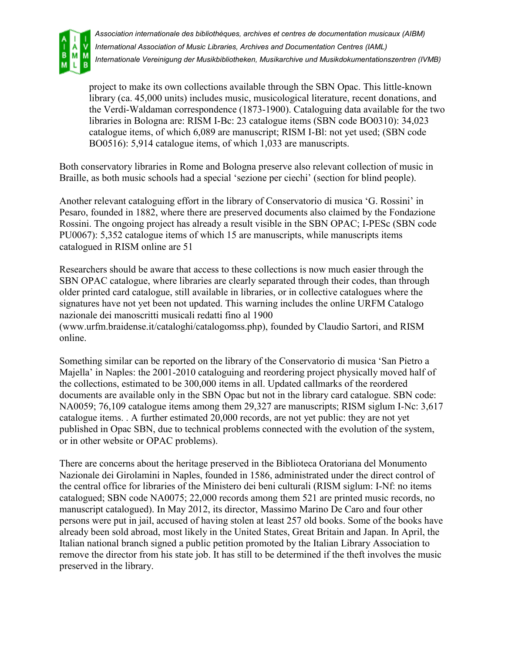

project to make its own collections available through the SBN Opac. This little-known library (ca. 45,000 units) includes music, musicological literature, recent donations, and the Verdi-Waldaman correspondence (1873-1900). Cataloguing data available for the two libraries in Bologna are: RISM I-Bc: 23 catalogue items (SBN code BO0310): 34,023 catalogue items, of which 6,089 are manuscript; RISM I-Bl: not yet used; (SBN code BO0516): 5,914 catalogue items, of which 1,033 are manuscripts.

Both conservatory libraries in Rome and Bologna preserve also relevant collection of music in Braille, as both music schools had a special 'sezione per ciechi' (section for blind people).

Another relevant cataloguing effort in the library of Conservatorio di musica 'G. Rossini' in Pesaro, founded in 1882, where there are preserved documents also claimed by the Fondazione Rossini. The ongoing project has already a result visible in the SBN OPAC; I-PESc (SBN code PU0067): 5,352 catalogue items of which 15 are manuscripts, while manuscripts items catalogued in RISM online are 51

Researchers should be aware that access to these collections is now much easier through the SBN OPAC catalogue, where libraries are clearly separated through their codes, than through older printed card catalogue, still available in libraries, or in collective catalogues where the signatures have not yet been not updated. This warning includes the online URFM Catalogo nazionale dei manoscritti musicali redatti fino al 1900 (www.urfm.braidense.it/cataloghi/catalogomss.php), founded by Claudio Sartori, and RISM online.

Something similar can be reported on the library of the Conservatorio di musica 'San Pietro a Majella' in Naples: the 2001-2010 cataloguing and reordering project physically moved half of the collections, estimated to be 300,000 items in all. Updated callmarks of the reordered documents are available only in the SBN Opac but not in the library card catalogue. SBN code: NA0059; 76,109 catalogue items among them 29,327 are manuscripts; RISM siglum I-Nc: 3,617 catalogue items. . A further estimated 20,000 records, are not yet public: they are not yet published in Opac SBN, due to technical problems connected with the evolution of the system, or in other website or OPAC problems).

There are concerns about the heritage preserved in the Biblioteca Oratoriana del Monumento Nazionale dei Girolamini in Naples, founded in 1586, administrated under the direct control of the central office for libraries of the Ministero dei beni culturali (RISM siglum: I-Nf: no items catalogued; SBN code NA0075; 22,000 records among them 521 are printed music records, no manuscript catalogued). In May 2012, its director, Massimo Marino De Caro and four other persons were put in jail, accused of having stolen at least 257 old books. Some of the books have already been sold abroad, most likely in the United States, Great Britain and Japan. In April, the Italian national branch signed a public petition promoted by the Italian Library Association to remove the director from his state job. It has still to be determined if the theft involves the music preserved in the library.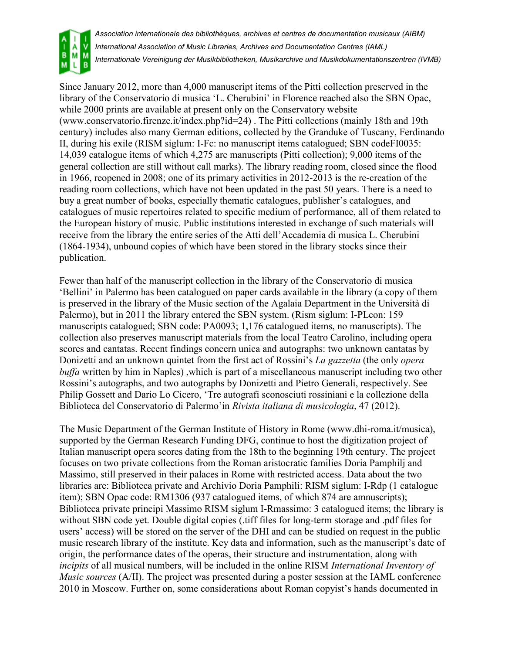

Since January 2012, more than 4,000 manuscript items of the Pitti collection preserved in the library of the Conservatorio di musica 'L. Cherubini' in Florence reached also the SBN Opac, while 2000 prints are available at present only on the Conservatory website (www.conservatorio.firenze.it/index.php?id=24) . The Pitti collections (mainly 18th and 19th century) includes also many German editions, collected by the Granduke of Tuscany, Ferdinando II, during his exile (RISM siglum: I-Fc: no manuscript items catalogued; SBN codeFI0035: 14,039 catalogue items of which 4,275 are manuscripts (Pitti collection); 9,000 items of the general collection are still without call marks). The library reading room, closed since the flood in 1966, reopened in 2008; one of its primary activities in 2012-2013 is the re-creation of the reading room collections, which have not been updated in the past 50 years. There is a need to buy a great number of books, especially thematic catalogues, publisher's catalogues, and catalogues of music repertoires related to specific medium of performance, all of them related to the European history of music. Public institutions interested in exchange of such materials will receive from the library the entire series of the Atti dell'Accademia di musica L. Cherubini (1864-1934), unbound copies of which have been stored in the library stocks since their publication.

Fewer than half of the manuscript collection in the library of the Conservatorio di musica 'Bellini' in Palermo has been catalogued on paper cards available in the library (a copy of them is preserved in the library of the Music section of the Agalaia Department in the Università di Palermo), but in 2011 the library entered the SBN system. (Rism siglum: I-PLcon: 159 manuscripts catalogued; SBN code: PA0093; 1,176 catalogued items, no manuscripts). The collection also preserves manuscript materials from the local Teatro Carolino, including opera scores and cantatas. Recent findings concern unica and autographs: two unknown cantatas by Donizetti and an unknown quintet from the first act of Rossini's *La gazzetta* (the only *opera buffa* written by him in Naples) ,which is part of a miscellaneous manuscript including two other Rossini's autographs, and two autographs by Donizetti and Pietro Generali, respectively. See Philip Gossett and Dario Lo Cicero, 'Tre autografi sconosciuti rossiniani e la collezione della Biblioteca del Conservatorio di Palermo'in *Rivista italiana di musicologia*, 47 (2012).

The Music Department of the German Institute of History in Rome (www.dhi-roma.it/musica), supported by the German Research Funding DFG, continue to host the digitization project of Italian manuscript opera scores dating from the 18th to the beginning 19th century. The project focuses on two private collections from the Roman aristocratic families Doria Pamphilj and Massimo, still preserved in their palaces in Rome with restricted access. Data about the two libraries are: Biblioteca private and Archivio Doria Pamphili: RISM siglum: I-Rdp (1 catalogue item); SBN Opac code: RM1306 (937 catalogued items, of which 874 are amnuscripts); Biblioteca private principi Massimo RISM siglum I-Rmassimo: 3 catalogued items; the library is without SBN code yet. Double digital copies (.tiff files for long-term storage and .pdf files for users' access) will be stored on the server of the DHI and can be studied on request in the public music research library of the institute. Key data and information, such as the manuscript's date of origin, the performance dates of the operas, their structure and instrumentation, along with *incipits* of all musical numbers, will be included in the online RISM *International Inventory of Music sources* (A/II). The project was presented during a poster session at the IAML conference 2010 in Moscow. Further on, some considerations about Roman copyist's hands documented in